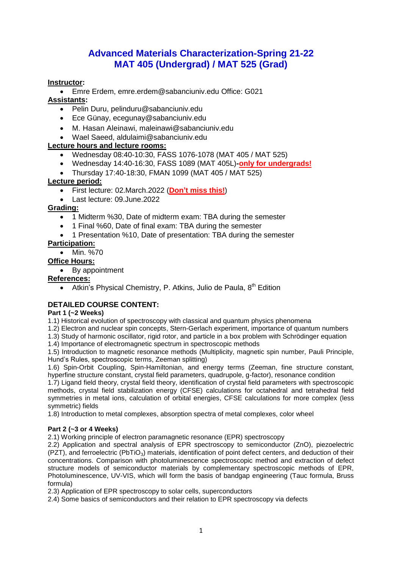# **Advanced Materials Characterization-Spring 21-22 MAT 405 (Undergrad) / MAT 525 (Grad)**

## **Instructor:**

Emre Erdem, emre.erdem@sabanciuniv.edu Office: G021

## **Assistants:**

- Pelin Duru, pelinduru@sabanciuniv.edu
- Ece Günay, ecegunay@sabanciuniv.edu
- M. Hasan Aleinawi, maleinawi@sabanciuniv.edu
- Wael Saeed, aldulaimi@sabanciuniv.edu

## **Lecture hours and lecture rooms:**

- Wednesday 08:40-10:30, FASS 1076-1078 (MAT 405 / MAT 525)
- Wednesday 14:40-16:30, FASS 1089 (MAT 405L)**-only for undergrads!**
- Thursday 17:40-18:30, FMAN 1099 (MAT 405 / MAT 525)

## **Lecture period:**

- First lecture: 02.March.2022 (**Don't miss this!**)
- Last lecture: 09.June.2022

## **Grading:**

- 1 Midterm %30, Date of midterm exam: TBA during the semester
- 1 Final %60, Date of final exam: TBA during the semester
- 1 Presentation %10, Date of presentation: TBA during the semester

## **Participation:**

• Min. %70

## **Office Hours:**

• By appointment

## **References:**

• Atkin's Physical Chemistry, P. Atkins, Julio de Paula,  $8<sup>th</sup>$  Edition

## **DETAILED COURSE CONTENT:**

## **Part 1 (~2 Weeks)**

1.1) Historical evolution of spectroscopy with classical and quantum physics phenomena

1.2) Electron and nuclear spin concepts, Stern-Gerlach experiment, importance of quantum numbers

1.3) Study of harmonic oscillator, rigid rotor, and particle in a box problem with Schrödinger equation

1.4) Importance of electromagnetic spectrum in spectroscopic methods

1.5) Introduction to magnetic resonance methods (Multiplicity, magnetic spin number, Pauli Principle, Hund's Rules, spectroscopic terms, Zeeman splitting)

1.6) Spin-Orbit Coupling, Spin-Hamiltonian, and energy terms (Zeeman, fine structure constant, hyperfine structure constant, crystal field parameters, quadrupole, g-factor), resonance condition

1.7) Ligand field theory, crystal field theory, identification of crystal field parameters with spectroscopic methods, crystal field stabilization energy (CFSE) calculations for octahedral and tetrahedral field symmetries in metal ions, calculation of orbital energies, CFSE calculations for more complex (less symmetric) fields

1.8) Introduction to metal complexes, absorption spectra of metal complexes, color wheel

## **Part 2 (~3 or 4 Weeks)**

2.1) Working principle of electron paramagnetic resonance (EPR) spectroscopy

2.2) Application and spectral analysis of EPR spectroscopy to semiconductor (ZnO), piezoelectric (PZT), and ferroelectric (PbTiO<sub>3</sub>) materials, identification of point defect centers, and deduction of their concentrations. Comparison with photoluminescence spectroscopic method and extraction of defect structure models of semiconductor materials by complementary spectroscopic methods of EPR, Photoluminescence, UV-VIS, which will form the basis of bandgap engineering (Tauc formula, Bruss formula)

2.3) Application of EPR spectroscopy to solar cells, superconductors

2.4) Some basics of semiconductors and their relation to EPR spectroscopy via defects